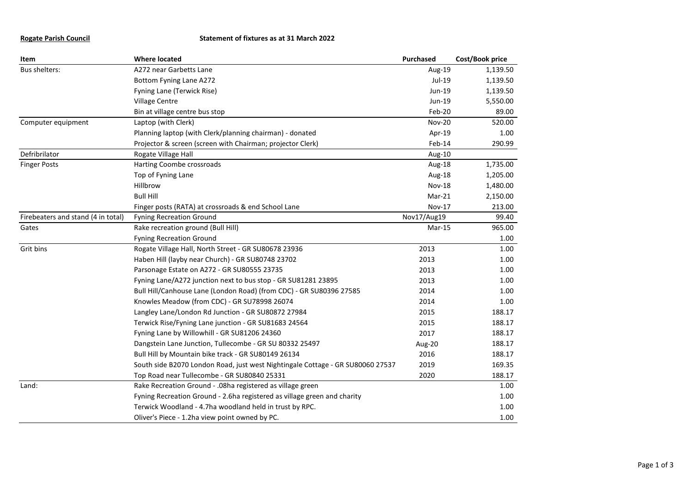## **Rogate Parish Council Statement of fixtures as at 31 March 2022**

| Item                               | <b>Where located</b>                                                           | Purchased     | Cost/Book price |
|------------------------------------|--------------------------------------------------------------------------------|---------------|-----------------|
| Bus shelters:                      | A272 near Garbetts Lane                                                        | Aug-19        | 1,139.50        |
|                                    | Bottom Fyning Lane A272                                                        | Jul-19        | 1,139.50        |
|                                    | Fyning Lane (Terwick Rise)                                                     | Jun-19        | 1,139.50        |
|                                    | Village Centre                                                                 | Jun-19        | 5,550.00        |
|                                    | Bin at village centre bus stop                                                 | Feb-20        | 89.00           |
| Computer equipment                 | Laptop (with Clerk)                                                            | <b>Nov-20</b> | 520.00          |
|                                    | Planning laptop (with Clerk/planning chairman) - donated                       | Apr-19        | 1.00            |
|                                    | Projector & screen (screen with Chairman; projector Clerk)                     | Feb-14        | 290.99          |
| Defribrilator                      | Rogate Village Hall                                                            | Aug-10        |                 |
| <b>Finger Posts</b>                | Harting Coombe crossroads                                                      | Aug-18        | 1,735.00        |
|                                    | Top of Fyning Lane                                                             | Aug-18        | 1,205.00        |
|                                    | Hillbrow                                                                       | <b>Nov-18</b> | 1,480.00        |
|                                    | <b>Bull Hill</b>                                                               | Mar-21        | 2,150.00        |
|                                    | Finger posts (RATA) at crossroads & end School Lane                            | <b>Nov-17</b> | 213.00          |
| Firebeaters and stand (4 in total) | <b>Fyning Recreation Ground</b>                                                | Nov17/Aug19   | 99.40           |
| Gates                              | Rake recreation ground (Bull Hill)                                             | Mar-15        | 965.00          |
|                                    | <b>Fyning Recreation Ground</b>                                                |               | 1.00            |
| Grit bins                          | Rogate Village Hall, North Street - GR SU80678 23936                           | 2013          | 1.00            |
|                                    | Haben Hill (layby near Church) - GR SU80748 23702                              | 2013          | 1.00            |
|                                    | Parsonage Estate on A272 - GR SU80555 23735                                    | 2013          | 1.00            |
|                                    | Fyning Lane/A272 junction next to bus stop - GR SU81281 23895                  | 2013          | 1.00            |
|                                    | Bull Hill/Canhouse Lane (London Road) (from CDC) - GR SU80396 27585            | 2014          | 1.00            |
|                                    | Knowles Meadow (from CDC) - GR SU78998 26074                                   | 2014          | 1.00            |
|                                    | Langley Lane/London Rd Junction - GR SU80872 27984                             | 2015          | 188.17          |
|                                    | Terwick Rise/Fyning Lane junction - GR SU81683 24564                           | 2015          | 188.17          |
|                                    | Fyning Lane by Willowhill - GR SU81206 24360                                   | 2017          | 188.17          |
|                                    | Dangstein Lane Junction, Tullecombe - GR SU 80332 25497                        | Aug-20        | 188.17          |
|                                    | Bull Hill by Mountain bike track - GR SU80149 26134                            | 2016          | 188.17          |
|                                    | South side B2070 London Road, just west Nightingale Cottage - GR SU80060 27537 | 2019          | 169.35          |
|                                    | Top Road near Tullecombe - GR SU80840 25331                                    | 2020          | 188.17          |
| Land:                              | Rake Recreation Ground - .08ha registered as village green                     |               | 1.00            |
|                                    | Fyning Recreation Ground - 2.6ha registered as village green and charity       |               | 1.00            |
|                                    | Terwick Woodland - 4.7ha woodland held in trust by RPC.                        |               | 1.00            |
|                                    | Oliver's Piece - 1.2ha view point owned by PC.                                 |               | 1.00            |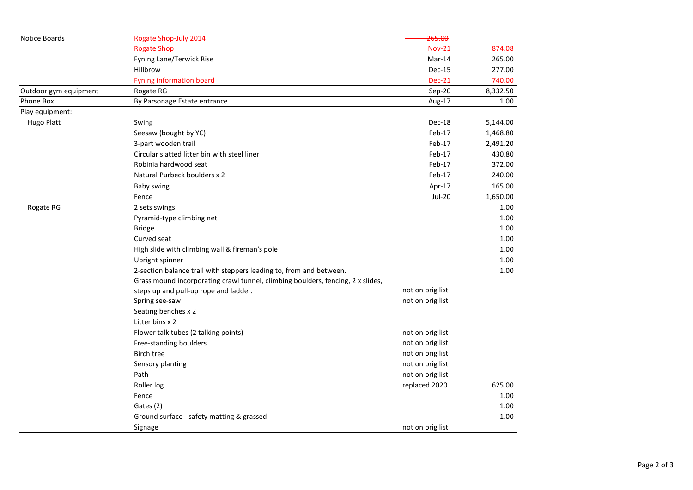| Notice Boards         | Rogate Shop-July 2014                                                           | 265.00           |          |
|-----------------------|---------------------------------------------------------------------------------|------------------|----------|
|                       | <b>Rogate Shop</b>                                                              | <b>Nov-21</b>    | 874.08   |
|                       | Fyning Lane/Terwick Rise                                                        | Mar-14           | 265.00   |
|                       | Hillbrow                                                                        | Dec-15           | 277.00   |
|                       | <b>Fyning information board</b>                                                 | <b>Dec-21</b>    | 740.00   |
| Outdoor gym equipment | Rogate RG                                                                       | Sep-20           | 8,332.50 |
| Phone Box             | By Parsonage Estate entrance                                                    | Aug-17           | 1.00     |
| Play equipment:       |                                                                                 |                  |          |
| <b>Hugo Platt</b>     | Swing                                                                           | Dec-18           | 5,144.00 |
|                       | Seesaw (bought by YC)                                                           | Feb-17           | 1,468.80 |
|                       | 3-part wooden trail                                                             | Feb-17           | 2,491.20 |
|                       | Circular slatted litter bin with steel liner                                    | Feb-17           | 430.80   |
|                       | Robinia hardwood seat                                                           | Feb-17           | 372.00   |
|                       | Natural Purbeck boulders x 2                                                    | Feb-17           | 240.00   |
|                       | Baby swing                                                                      | Apr-17           | 165.00   |
|                       | Fence                                                                           | <b>Jul-20</b>    | 1,650.00 |
| Rogate RG             | 2 sets swings                                                                   |                  | 1.00     |
|                       | Pyramid-type climbing net                                                       |                  | 1.00     |
|                       | <b>Bridge</b>                                                                   |                  | 1.00     |
|                       | Curved seat                                                                     |                  | 1.00     |
|                       | High slide with climbing wall & fireman's pole                                  |                  | 1.00     |
|                       | Upright spinner                                                                 |                  | 1.00     |
|                       | 2-section balance trail with steppers leading to, from and between.             |                  | 1.00     |
|                       | Grass mound incorporating crawl tunnel, climbing boulders, fencing, 2 x slides, |                  |          |
|                       | steps up and pull-up rope and ladder.                                           | not on orig list |          |
|                       | Spring see-saw                                                                  | not on orig list |          |
|                       | Seating benches x 2                                                             |                  |          |
|                       | Litter bins x 2                                                                 |                  |          |
|                       | Flower talk tubes (2 talking points)                                            | not on orig list |          |
|                       | Free-standing boulders                                                          | not on orig list |          |
|                       | <b>Birch tree</b>                                                               | not on orig list |          |
|                       | Sensory planting                                                                | not on orig list |          |
|                       | Path                                                                            | not on orig list |          |
|                       | Roller log                                                                      | replaced 2020    | 625.00   |
|                       | Fence                                                                           |                  | 1.00     |
|                       | Gates (2)                                                                       |                  | 1.00     |
|                       | Ground surface - safety matting & grassed                                       |                  | 1.00     |
|                       | Signage                                                                         | not on orig list |          |